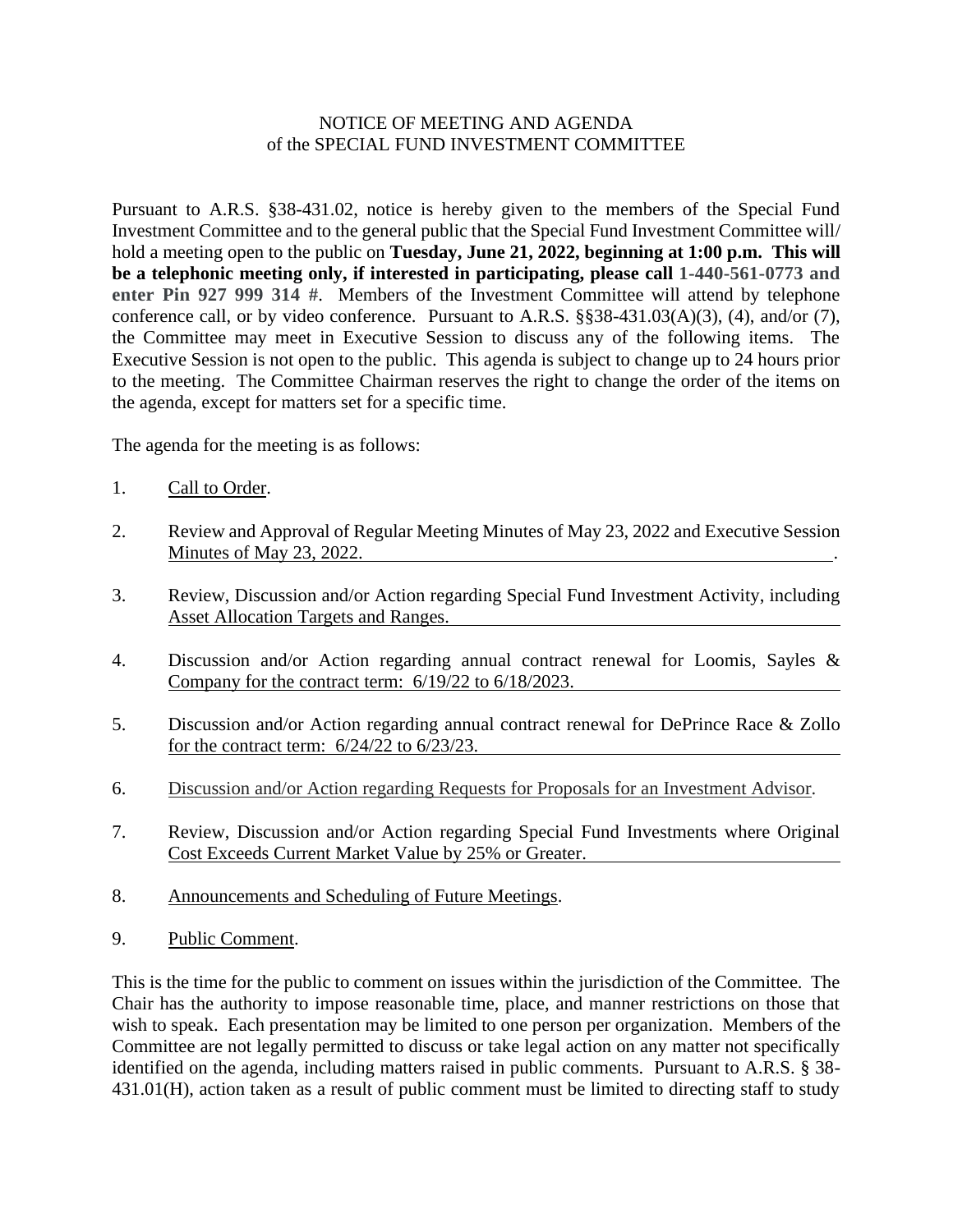## NOTICE OF MEETING AND AGENDA of the SPECIAL FUND INVESTMENT COMMITTEE

Pursuant to A.R.S. §38-431.02, notice is hereby given to the members of the Special Fund Investment Committee and to the general public that the Special Fund Investment Committee will/ hold a meeting open to the public on **Tuesday, June 21, 2022, beginning at 1:00 p.m. This will be a telephonic meeting only, if interested in participating, please call 1-440-561-0773 and enter Pin 927 999 314 #**. Members of the Investment Committee will attend by telephone conference call, or by video conference. Pursuant to A.R.S. §§38-431.03(A)(3), (4), and/or (7), the Committee may meet in Executive Session to discuss any of the following items. The Executive Session is not open to the public. This agenda is subject to change up to 24 hours prior to the meeting. The Committee Chairman reserves the right to change the order of the items on the agenda, except for matters set for a specific time.

The agenda for the meeting is as follows:

- 1. Call to Order.
- 2. Review and Approval of Regular Meeting Minutes of May 23, 2022 and Executive Session Minutes of May 23, 2022.
- 3. Review, Discussion and/or Action regarding Special Fund Investment Activity, including Asset Allocation Targets and Ranges.
- 4. Discussion and/or Action regarding annual contract renewal for Loomis, Sayles & Company for the contract term:  $6/19/22$  to  $6/18/2023$ .
- 5. Discussion and/or Action regarding annual contract renewal for DePrince Race & Zollo for the contract term: 6/24/22 to 6/23/23.
- 6. Discussion and/or Action regarding Requests for Proposals for an Investment Advisor.
- 7. Review, Discussion and/or Action regarding Special Fund Investments where Original Cost Exceeds Current Market Value by 25% or Greater.
- 8. Announcements and Scheduling of Future Meetings.
- 9. Public Comment.

This is the time for the public to comment on issues within the jurisdiction of the Committee. The Chair has the authority to impose reasonable time, place, and manner restrictions on those that wish to speak. Each presentation may be limited to one person per organization. Members of the Committee are not legally permitted to discuss or take legal action on any matter not specifically identified on the agenda, including matters raised in public comments. Pursuant to A.R.S. § 38- 431.01(H), action taken as a result of public comment must be limited to directing staff to study